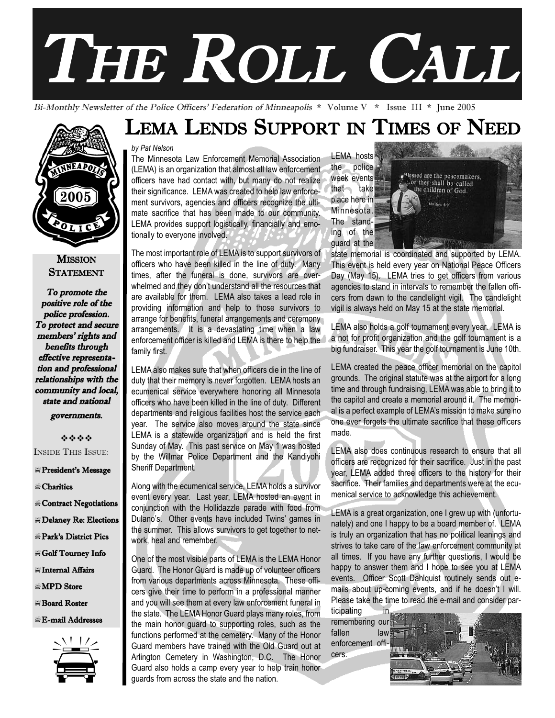# THE ROLL CALL

Bi-Monthly Newsletter of the Police Officers' Federation of Minneapolis \* Volume V \* Issue III \* June 2005

# LEMA LENDS SUPPORT IN TIMES OF NEED



The Minnesota Law Enforcement Memorial Association (LEMA) is an organization that almost all law enforcement officers have had contact with, but many do not realize their significance. LEMA was created to help law enforcement survivors, agencies and officers recognize the ultimate sacrifice that has been made to our community. LEMA provides support logistically, financially and emotionally to everyone involved.

The most important role of LEMA is to support survivors of officers who have been killed in the line of duty. Many times, after the funeral is done, survivors are overwhelmed and they don't understand all the resources that are available for them. LEMA also takes a lead role in providing information and help to those survivors to arrange for benefits, funeral arrangements and ceremony arrangements. It is a devastating time when a law enforcement officer is killed and LEMA is there to help the family first.

LEMA also makes sure that when officers die in the line of duty that their memory is never forgotten. LEMA hosts an ecumenical service everywhere honoring all Minnesota officers who have been killed in the line of duty. Different departments and religious facilities host the service each year. The service also moves around the state since LEMA is a statewide organization and is held the first Sunday of May. This past service on May 1 was hosted by the Willmar Police Department and the Kandiyohi Sheriff Department.

Along with the ecumenical service, LEMA holds a survivor event every year. Last year, LEMA hosted an event in conjunction with the Hollidazzle parade with food from Dulano's. Other events have included Twins' games in the summer. This allows survivors to get together to network, heal and remember.

One of the most visible parts of LEMA is the LEMA Honor Guard. The Honor Guard is made up of volunteer officers from various departments across Minnesota. These officers give their time to perform in a professional manner and you will see them at every law enforcement funeral in the state. The LEMA Honor Guard plays many roles, from the main honor guard to supporting roles, such as the functions performed at the cemetery. Many of the Honor Guard members have trained with the Old Guard out at Arlington Cemetery in Washington, D.C. The Honor cers.<br>
Guard also holds a camp every year to help train honor<br>
guards from across the state and the nation. Guard also holds a camp every year to help train honor guards from across the state and the nation. E-mail Addresses<br>the main honor guard to supporting roles, such as the remembering our<br>functions performed at the cemetery. Many of the Honor fallen law<br>Guard members have trained with the Old Guard out at enforcement offi

LEMA hosts the police week events that take place here in Minnesota. The standing of the guard at the



state memorial is coordinated and supported by LEMA. This event is held every year on National Peace Officers Day (May 15). LEMA tries to get officers from various agencies to stand in intervals to remember the fallen officers from dawn to the candlelight vigil. The candlelight vigil is always held on May 15 at the state memorial.

LEMA also holds a golf tournament every year. LEMA is a not for profit organization and the golf tournament is a big fundraiser. This year the golf tournament is June 10th.

LEMA created the peace officer memorial on the capitol grounds. The original statute was at the airport for a long time and through fundraising, LEMA was able to bring it to the capitol and create a memorial around it. The memorial is a perfect example of LEMA's mission to make sure no one ever forgets the ultimate sacrifice that these officers made.

LEMA also does continuous research to ensure that all officers are recognized for their sacrifice. Just in the past year, LEMA added three officers to the history for their sacrifice. Their families and departments were at the ecumenical service to acknowledge this achievement.

LEMA is a great organization, one I grew up with (unfortunately) and one I happy to be a board member of. LEMA is truly an organization that has no political leanings and strives to take care of the law enforcement community at all times. If you have any further questions, I would be happy to answer them and I hope to see you at LEMA events. Officer Scott Dahlquist routinely sends out emails about up-coming events, and if he doesn't I will. Please take the time to read the e-mail and consider par-

ticipating in remembering our fallen law<br>enforcement offi-



**MISSION STATEMENT** To promote the

2005

positive role of the police profession. To protect and secure members' rights and benefits through effective representation and professional relationships with the community and local, state and national

governments.

----INSIDE THIS ISSUE:

President's Message

-Charities

- # Contract Negotiations
- -Delaney Re: Elections
- Park's District Pics
- -Golf Tourney Info
- -Internal Affairs
- **EMPD** Store
- -Board Roster
- -E-mail Addresses

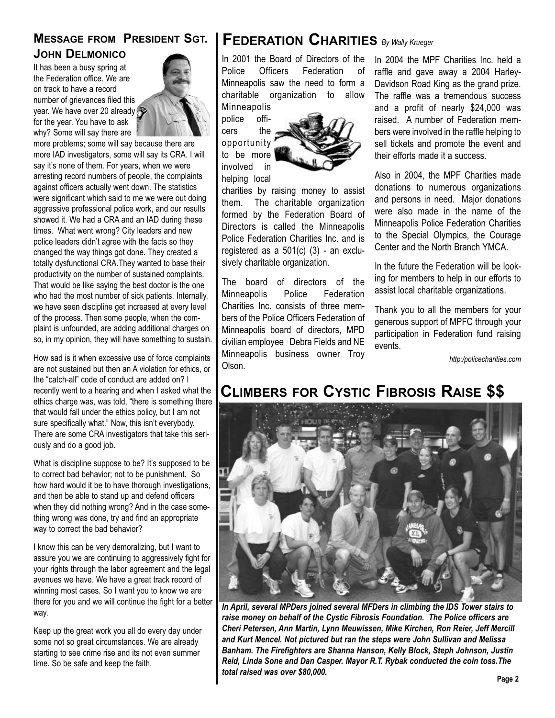### **MESSAGE FROM PRESIDENT SGT. JOHN DELMONICO**

It has been a busy spring at the Federation office. We are on track to have a record number of grievances filed this year. We have over 20 already for the year. You have to ask why? Some will say there are



more problems; some will say because there are more IAD investigators, some will say its CRA. I will say it's none of them. For years, when we were arresting record numbers of people, the complaints against officers actually went down. The statistics were significant which said to me we were out doing aggressive professional police work, and our results showed it. We had a CRA and an IAD during these times. What went wrong? City leaders and new police leaders didn't agree with the facts so they changed the way things got done. They created a totally dysfunctional CRA.They wanted to base their productivity on the number of sustained complaints. That would be like saying the best doctor is the one who had the most number of sick patients. Internally, we have seen discipline get increased at every level of the process. Then some people, when the complaint is unfounded, are adding additional charges on so, in my opinion, they will have something to sustain.

How sad is it when excessive use of force complaints are not sustained but then an A violation for ethics, or the "catch-all" code of conduct are added on? I recently went to a hearing and when I asked what the ethics charge was, was told, "there is something there that would fall under the ethics policy, but I am not sure specifically what." Now, this isn't everybody. There are some CRA investigators that take this seriously and do a good job.

What is discipline suppose to be? It's supposed to be to correct bad behavior; not to be punishment. So how hard would it be to have thorough investigations, and then be able to stand up and defend officers when they did nothing wrong? And in the case something wrong was done, try and find an appropriate way to correct the bad behavior?

I know this can be very demoralizing, but I want to assure you we are continuing to aggressively fight for your rights through the labor agreement and the legal avenues we have. We have a great track record of winning most cases. So I want you to know we are there for you and we will continue the fight for a better way.

Keep up the great work you all do every day under some not so great circumstances. We are already starting to see crime rise and its not even summer time. So be safe and keep the faith.

## **FEDERATION CHARITIES** *By Wally Krueger*

In 2001 the Board of Directors of the Police Officers Federation of Minneapolis saw the need to form a charitable organization to allow Minneapolis

police officers the opportunity to be more involved in helping local



charities by raising money to assist them. The charitable organization formed by the Federation Board of Directors is called the Minneapolis Police Federation Charities Inc. and is registered as a 501(c) (3) - an exclusively charitable organization.

The board of directors of the Minneapolis Police Federation Charities Inc. consists of three members of the Police Officers Federation of Minneapolis board of directors, MPD civilian employee Debra Fields and NE Minneapolis business owner Troy Olson.

In 2004 the MPF Charities Inc. held a raffle and gave away a 2004 Harley-Davidson Road King as the grand prize. The raffle was a tremendous success and a profit of nearly \$24,000 was raised. A number of Federation members were involved in the raffle helping to sell tickets and promote the event and their efforts made it a success.

Also in 2004, the MPF Charities made donations to numerous organizations and persons in need. Major donations were also made in the name of the Minneapolis Police Federation Charities to the Special Olympics, the Courage Center and the North Branch YMCA.

In the future the Federation will be looking for members to help in our efforts to assist local charitable organizations.

Thank you to all the members for your generous support of MPFC through your participation in Federation fund raising events.

*http:/policecharities.com*

## **CLIMBERS FOR CYSTIC FIBROSIS RAISE \$\$**



*In April, several MPDers joined several MFDers in climbing the IDS Tower stairs to raise money on behalf of the Cystic Fibrosis Foundation. The Police officers are Cheri Petersen, Ann Martin, Lynn Meuwissen, Mike Kirchen, Ron Reier, Jeff Mercill and Kurt Mencel. Not pictured but ran the steps were John Sullivan and Melissa Banham. The Firefighters are Shanna Hanson, Kelly Block, Steph Johnson, Justin Reid, Linda Sone and Dan Casper. Mayor R.T. Rybak conducted the coin toss.The total raised was over \$80,000.* **Page 2**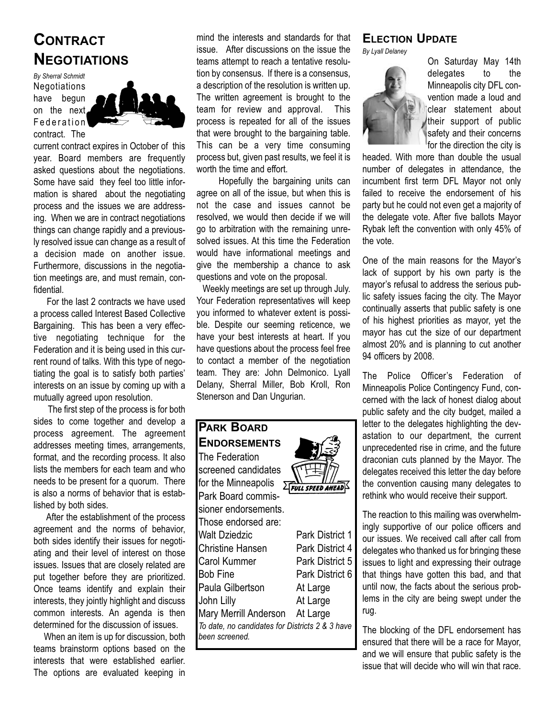## **CONTRACT NEGOTIATIONS**

*By Sherral Schmidt*  Negotiations have begun on the next Federation contract. The



current contract expires in October of this year. Board members are frequently asked questions about the negotiations. Some have said they feel too little information is shared about the negotiating process and the issues we are addressing. When we are in contract negotiations things can change rapidly and a previously resolved issue can change as a result of a decision made on another issue. Furthermore, discussions in the negotiation meetings are, and must remain, confidential.

For the last 2 contracts we have used a process called Interest Based Collective Bargaining. This has been a very effective negotiating technique for the Federation and it is being used in this current round of talks. With this type of negotiating the goal is to satisfy both parties' interests on an issue by coming up with a mutually agreed upon resolution.

The first step of the process is for both sides to come together and develop a process agreement. The agreement addresses meeting times, arrangements, format, and the recording process. It also lists the members for each team and who needs to be present for a quorum. There is also a norms of behavior that is established by both sides.

After the establishment of the process agreement and the norms of behavior, both sides identify their issues for negotiating and their level of interest on those issues. Issues that are closely related are put together before they are prioritized. Once teams identify and explain their interests, they jointly highlight and discuss common interests. An agenda is then determined for the discussion of issues.

When an item is up for discussion, both teams brainstorm options based on the interests that were established earlier. The options are evaluated keeping in

mind the interests and standards for that issue. After discussions on the issue the teams attempt to reach a tentative resolution by consensus. If there is a consensus, a description of the resolution is written up. The written agreement is brought to the team for review and approval. This process is repeated for all of the issues that were brought to the bargaining table. This can be a very time consuming process but, given past results, we feel it is worth the time and effort.

Hopefully the bargaining units can agree on all of the issue, but when this is not the case and issues cannot be resolved, we would then decide if we will go to arbitration with the remaining unresolved issues. At this time the Federation would have informational meetings and give the membership a chance to ask questions and vote on the proposal.

Weekly meetings are set up through July. Your Federation representatives will keep you informed to whatever extent is possible. Despite our seeming reticence, we have your best interests at heart. If you have questions about the process feel free to contact a member of the negotiation team. They are: John Delmonico. Lyall Delany, Sherral Miller, Bob Kroll, Ron Stenerson and Dan Ungurian.

| <b>PARK BOARD</b>                               |                         |
|-------------------------------------------------|-------------------------|
| <b>ENDORSEMENTS</b>                             |                         |
| The Federation                                  |                         |
| screened candidates                             |                         |
| for the Minneapolis                             | <b>FULL SPEED AHEAL</b> |
| Park Board commis-                              |                         |
| sioner endorsements.                            |                         |
| Those endorsed are:                             |                         |
| <b>Walt Dziedzic</b>                            | Park District 1         |
| <b>Christine Hansen</b>                         | Park District 4         |
| Carol Kummer                                    | <b>Park District 5</b>  |
| <b>Bob Fine</b>                                 | Park District 6         |
| Paula Gilbertson                                | At Large                |
| John Lilly                                      | At Large                |
| Mary Merrill Anderson                           | At Large                |
| To date, no candidates for Districts 2 & 3 have |                         |
| been screened.                                  |                         |

#### **ELECTION UPDATE**

*By Lyall Delaney* 



On Saturday May 14th delegates to the Minneapolis city DFL convention made a loud and clear statement about their support of public safety and their concerns for the direction the city is

headed. With more than double the usual number of delegates in attendance, the incumbent first term DFL Mayor not only failed to receive the endorsement of his party but he could not even get a majority of the delegate vote. After five ballots Mayor Rybak left the convention with only 45% of the vote.

One of the main reasons for the Mayor's lack of support by his own party is the mayor's refusal to address the serious public safety issues facing the city. The Mayor continually asserts that public safety is one of his highest priorities as mayor, yet the mayor has cut the size of our department almost 20% and is planning to cut another 94 officers by 2008.

The Police Officer's Federation of Minneapolis Police Contingency Fund, concerned with the lack of honest dialog about public safety and the city budget, mailed a letter to the delegates highlighting the devastation to our department, the current unprecedented rise in crime, and the future draconian cuts planned by the Mayor. The delegates received this letter the day before the convention causing many delegates to rethink who would receive their support.

The reaction to this mailing was overwhelmingly supportive of our police officers and our issues. We received call after call from delegates who thanked us for bringing these issues to light and expressing their outrage that things have gotten this bad, and that until now, the facts about the serious problems in the city are being swept under the rug.

The blocking of the DFL endorsement has ensured that there will be a race for Mayor, and we will ensure that public safety is the issue that will decide who will win that race.

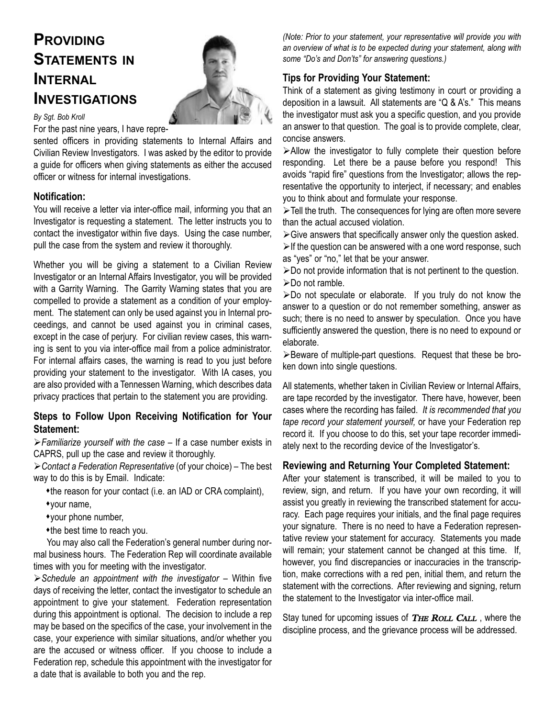## **PROVIDING STATEMENTS IN INTERNAL INVESTIGATIONS**



#### *By Sgt. Bob Kroll*

For the past nine years, I have repre-

sented officers in providing statements to Internal Affairs and Civilian Review Investigators. I was asked by the editor to provide a guide for officers when giving statements as either the accused officer or witness for internal investigations.

#### **Notification:**

You will receive a letter via inter-office mail, informing you that an Investigator is requesting a statement. The letter instructs you to contact the investigator within five days. Using the case number, pull the case from the system and review it thoroughly.

Whether you will be giving a statement to a Civilian Review Investigator or an Internal Affairs Investigator, you will be provided with a Garrity Warning. The Garrity Warning states that you are compelled to provide a statement as a condition of your employment. The statement can only be used against you in Internal proceedings, and cannot be used against you in criminal cases, except in the case of perjury. For civilian review cases, this warning is sent to you via inter-office mail from a police administrator. For internal affairs cases, the warning is read to you just before providing your statement to the investigator. With IA cases, you are also provided with a Tennessen Warning, which describes data privacy practices that pertain to the statement you are providing.

#### **Steps to Follow Upon Receiving Notification for Your Statement:**

*Familiarize yourself with the case* – If a case number exists in CAPRS, pull up the case and review it thoroughly.

*Contact a Federation Representative* (of your choice) – The best way to do this is by Email. Indicate:

the reason for your contact (i.e. an IAD or CRA complaint),

your name,

your phone number,

the best time to reach you.

You may also call the Federation's general number during normal business hours. The Federation Rep will coordinate available times with you for meeting with the investigator.

*Schedule an appointment with the investigator* – Within five days of receiving the letter, contact the investigator to schedule an appointment to give your statement. Federation representation during this appointment is optional. The decision to include a rep may be based on the specifics of the case, your involvement in the case, your experience with similar situations, and/or whether you are the accused or witness officer. If you choose to include a Federation rep, schedule this appointment with the investigator for a date that is available to both you and the rep.

*(Note: Prior to your statement, your representative will provide you with an overview of what is to be expected during your statement, along with some "Do's and Don'ts" for answering questions.)*

#### **Tips for Providing Your Statement:**

Think of a statement as giving testimony in court or providing a deposition in a lawsuit. All statements are "Q & A's." This means the investigator must ask you a specific question, and you provide an answer to that question. The goal is to provide complete, clear, concise answers.

Allow the investigator to fully complete their question before responding. Let there be a pause before you respond! This avoids "rapid fire" questions from the Investigator; allows the representative the opportunity to interject, if necessary; and enables you to think about and formulate your response.

 $\triangleright$  Tell the truth. The consequences for lying are often more severe than the actual accused violation.

 $\triangleright$  Give answers that specifically answer only the question asked.

 $\triangleright$  If the question can be answered with a one word response, such as "yes" or "no," let that be your answer.

 $\triangleright$  Do not provide information that is not pertinent to the question. ≻Do not ramble.

 $\triangleright$ Do not speculate or elaborate. If you truly do not know the answer to a question or do not remember something, answer as such; there is no need to answer by speculation. Once you have sufficiently answered the question, there is no need to expound or elaborate.

Beware of multiple-part questions. Request that these be broken down into single questions.

All statements, whether taken in Civilian Review or Internal Affairs, are tape recorded by the investigator. There have, however, been cases where the recording has failed. *It is recommended that you tape record your statement yourself,* or have your Federation rep record it. If you choose to do this, set your tape recorder immediately next to the recording device of the Investigator's.

#### **Reviewing and Returning Your Completed Statement:**

After your statement is transcribed, it will be mailed to you to review, sign, and return. If you have your own recording, it will assist you greatly in reviewing the transcribed statement for accuracy. Each page requires your initials, and the final page requires your signature. There is no need to have a Federation representative review your statement for accuracy. Statements you made will remain; your statement cannot be changed at this time. If, however, you find discrepancies or inaccuracies in the transcription, make corrections with a red pen, initial them, and return the statement with the corrections. After reviewing and signing, return the statement to the Investigator via inter-office mail.

Stay tuned for upcoming issues of THE ROLL CALL, where the discipline process, and the grievance process will be addressed.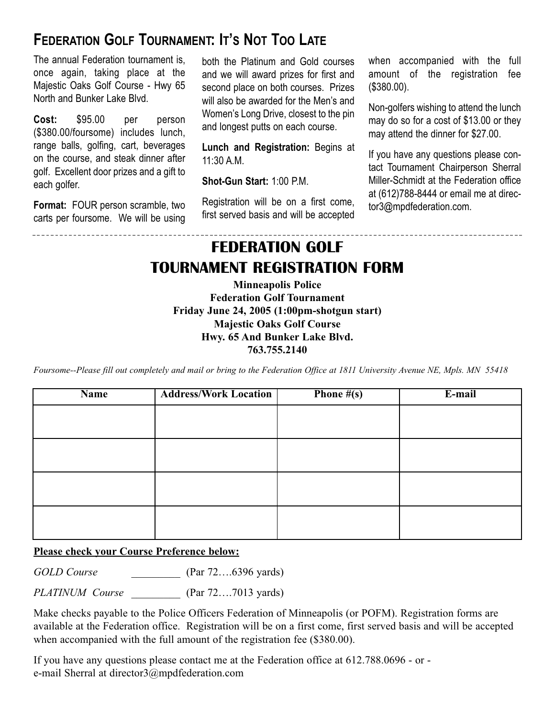## **FEDERATION GOLF TOURNAMENT: IT'S NOT TOO LATE**

The annual Federation tournament is, once again, taking place at the Majestic Oaks Golf Course - Hwy 65 North and Bunker Lake Blvd.

**Cost:** \$95.00 per person (\$380.00/foursome) includes lunch, range balls, golfing, cart, beverages on the course, and steak dinner after golf. Excellent door prizes and a gift to each golfer.

**Format:** FOUR person scramble, two carts per foursome. We will be using

----------------------------

both the Platinum and Gold courses and we will award prizes for first and second place on both courses. Prizes will also be awarded for the Men's and Women's Long Drive, closest to the pin and longest putts on each course.

**Lunch and Registration:** Begins at 11:30 A.M.

**Shot-Gun Start:** 1:00 P.M.

Registration will be on a first come, first served basis and will be accepted when accompanied with the full amount of the registration fee (\$380.00).

Non-golfers wishing to attend the lunch may do so for a cost of \$13.00 or they may attend the dinner for \$27.00.

If you have any questions please contact Tournament Chairperson Sherral Miller-Schmidt at the Federation office at (612)788-8444 or email me at director3@mpdfederation.com.

# **FEDERATION GOLF TOURNAMENT REGISTRATION FORM**

**Minneapolis Police Federation Golf Tournament Friday June 24, 2005 (1:00pm-shotgun start) Majestic Oaks Golf Course Hwy. 65 And Bunker Lake Blvd. 763.755.2140**

*Foursome--Please fill out completely and mail or bring to the Federation Office at 1811 University Avenue NE, Mpls. MN 55418*

| Name | <b>Address/Work Location</b> | <b>Phone <math>\#(s)</math></b> | E-mail |
|------|------------------------------|---------------------------------|--------|
|      |                              |                                 |        |
|      |                              |                                 |        |
|      |                              |                                 |        |
|      |                              |                                 |        |
|      |                              |                                 |        |
|      |                              |                                 |        |
|      |                              |                                 |        |
|      |                              |                                 |        |

#### **Please check your Course Preference below:**

*GOLD Course* \_\_\_\_\_\_\_\_\_ (Par 72….6396 yards)

*PLATINUM Course* \_\_\_\_\_\_\_\_\_ (Par 72….7013 yards)

Make checks payable to the Police Officers Federation of Minneapolis (or POFM). Registration forms are available at the Federation office. Registration will be on a first come, first served basis and will be accepted when accompanied with the full amount of the registration fee (\$380.00).

If you have any questions please contact me at the Federation office at 612.788.0696 - or e-mail Sherral at director3@mpdfederation.com